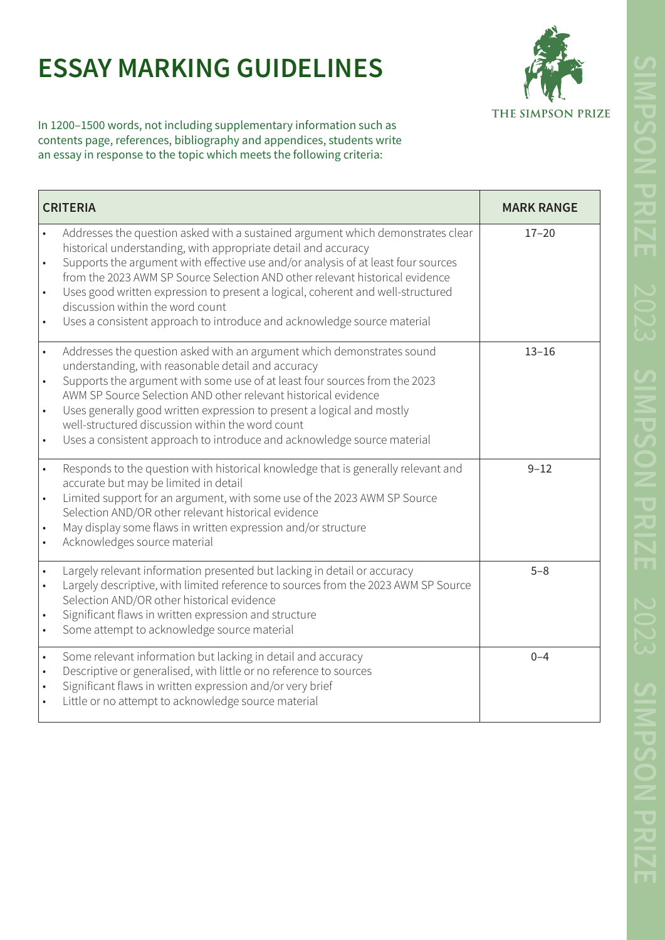## **ESSAY MARKING GUIDELINES**



In 1200–1500 words, not including supplementary information such as contents page, references, bibliography and appendices, students write an essay in response to the topic which meets the following criteria:

| <b>CRITERIA</b>                                                                                                                                                                                                                                                                                                                                                                                                                                                                                                                                    | <b>MARK RANGE</b> |
|----------------------------------------------------------------------------------------------------------------------------------------------------------------------------------------------------------------------------------------------------------------------------------------------------------------------------------------------------------------------------------------------------------------------------------------------------------------------------------------------------------------------------------------------------|-------------------|
| Addresses the question asked with a sustained argument which demonstrates clear<br>historical understanding, with appropriate detail and accuracy<br>Supports the argument with effective use and/or analysis of at least four sources<br>$\bullet$<br>from the 2023 AWM SP Source Selection AND other relevant historical evidence<br>Uses good written expression to present a logical, coherent and well-structured<br>$\bullet$<br>discussion within the word count<br>Uses a consistent approach to introduce and acknowledge source material | $17 - 20$         |
| Addresses the question asked with an argument which demonstrates sound<br>$\bullet$<br>understanding, with reasonable detail and accuracy<br>Supports the argument with some use of at least four sources from the 2023<br>AWM SP Source Selection AND other relevant historical evidence<br>Uses generally good written expression to present a logical and mostly<br>$\bullet$<br>well-structured discussion within the word count<br>Uses a consistent approach to introduce and acknowledge source material<br>$\bullet$                       | $13 - 16$         |
| Responds to the question with historical knowledge that is generally relevant and<br>$\bullet$<br>accurate but may be limited in detail<br>Limited support for an argument, with some use of the 2023 AWM SP Source<br>Selection AND/OR other relevant historical evidence<br>May display some flaws in written expression and/or structure<br>Acknowledges source material                                                                                                                                                                        | $9 - 12$          |
| Largely relevant information presented but lacking in detail or accuracy<br>Largely descriptive, with limited reference to sources from the 2023 AWM SP Source<br>$\bullet$<br>Selection AND/OR other historical evidence<br>Significant flaws in written expression and structure<br>$\bullet$<br>Some attempt to acknowledge source material<br>$\bullet$                                                                                                                                                                                        | $5 - 8$           |
| Some relevant information but lacking in detail and accuracy<br>$\bullet$<br>Descriptive or generalised, with little or no reference to sources<br>$\bullet$<br>Significant flaws in written expression and/or very brief<br>$\bullet$<br>Little or no attempt to acknowledge source material                                                                                                                                                                                                                                                      | $0 - 4$           |